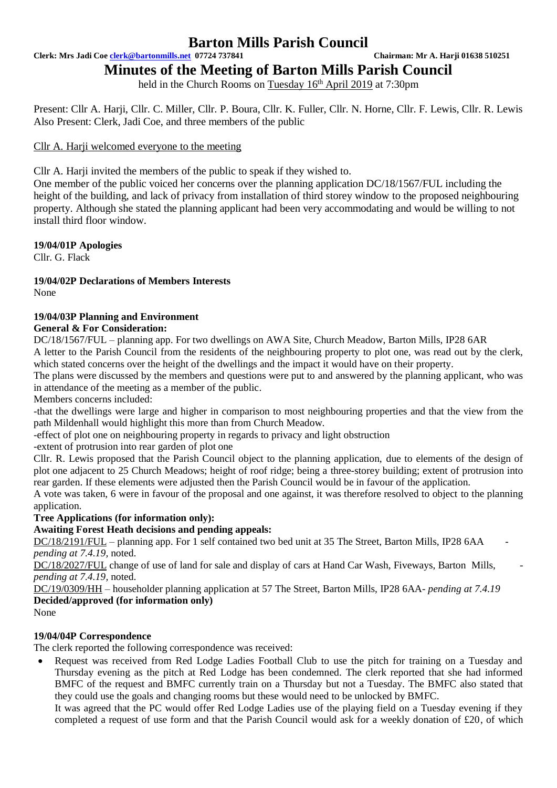## **Barton Mills Parish Council**

**Clerk: Mrs Jadi Coe [clerk@bartonmills.net](mailto:clerk@bartonmills.net) 07724 737841 Chairman: Mr A. Harji 01638 510251**

# **Minutes of the Meeting of Barton Mills Parish Council**

held in the Church Rooms on Tuesday  $16<sup>th</sup>$  April 2019 at 7:30pm

Present: Cllr A. Harji, Cllr. C. Miller, Cllr. P. Boura, Cllr. K. Fuller, Cllr. N. Horne, Cllr. F. Lewis, Cllr. R. Lewis Also Present: Clerk, Jadi Coe, and three members of the public

## Cllr A. Harii welcomed everyone to the meeting

Cllr A. Harji invited the members of the public to speak if they wished to.

One member of the public voiced her concerns over the planning application DC/18/1567/FUL including the height of the building, and lack of privacy from installation of third storey window to the proposed neighbouring property. Although she stated the planning applicant had been very accommodating and would be willing to not install third floor window.

**19/04/01P Apologies**

Cllr. G. Flack

# **19/04/02P Declarations of Members Interests**

None

## **19/04/03P Planning and Environment**

## **General & For Consideration:**

DC/18/1567/FUL – planning app. For two dwellings on AWA Site, Church Meadow, Barton Mills, IP28 6AR A letter to the Parish Council from the residents of the neighbouring property to plot one, was read out by the clerk, which stated concerns over the height of the dwellings and the impact it would have on their property.

The plans were discussed by the members and questions were put to and answered by the planning applicant, who was in attendance of the meeting as a member of the public.

Members concerns included:

-that the dwellings were large and higher in comparison to most neighbouring properties and that the view from the path Mildenhall would highlight this more than from Church Meadow.

-effect of plot one on neighbouring property in regards to privacy and light obstruction

-extent of protrusion into rear garden of plot one

Cllr. R. Lewis proposed that the Parish Council object to the planning application, due to elements of the design of plot one adjacent to 25 Church Meadows; height of roof ridge; being a three-storey building; extent of protrusion into rear garden. If these elements were adjusted then the Parish Council would be in favour of the application.

A vote was taken, 6 were in favour of the proposal and one against, it was therefore resolved to object to the planning application.

## **Tree Applications (for information only):**

## **Awaiting Forest Heath decisions and pending appeals:**

DC/18/2191/FUL – planning app. For 1 self contained two bed unit at 35 The Street, Barton Mills, IP28 6AA *pending at 7.4.19,* noted.

DC/18/2027/FUL change of use of land for sale and display of cars at Hand Car Wash, Fiveways, Barton Mills, *pending at 7.4.19,* noted.

DC/19/0309/HH – householder planning application at 57 The Street, Barton Mills, IP28 6AA- *pending at 7.4.19* **Decided/approved (for information only)**

None

## **19/04/04P Correspondence**

The clerk reported the following correspondence was received:

• Request was received from Red Lodge Ladies Football Club to use the pitch for training on a Tuesday and Thursday evening as the pitch at Red Lodge has been condemned. The clerk reported that she had informed BMFC of the request and BMFC currently train on a Thursday but not a Tuesday. The BMFC also stated that they could use the goals and changing rooms but these would need to be unlocked by BMFC.

It was agreed that the PC would offer Red Lodge Ladies use of the playing field on a Tuesday evening if they completed a request of use form and that the Parish Council would ask for a weekly donation of £20, of which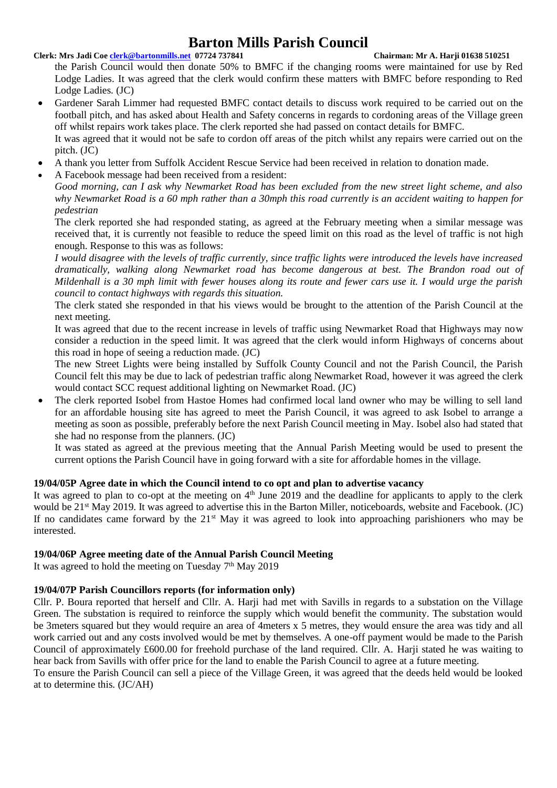## **Barton Mills Parish Council**

## **Clerk: Mrs Jadi Coe [clerk@bartonmills.net](mailto:clerk@bartonmills.net) 07724 737841 Chairman: Mr A. Harji 01638 510251**

the Parish Council would then donate 50% to BMFC if the changing rooms were maintained for use by Red Lodge Ladies. It was agreed that the clerk would confirm these matters with BMFC before responding to Red Lodge Ladies. (JC)

- Gardener Sarah Limmer had requested BMFC contact details to discuss work required to be carried out on the football pitch, and has asked about Health and Safety concerns in regards to cordoning areas of the Village green off whilst repairs work takes place. The clerk reported she had passed on contact details for BMFC. It was agreed that it would not be safe to cordon off areas of the pitch whilst any repairs were carried out on the pitch. (JC)
- A thank you letter from Suffolk Accident Rescue Service had been received in relation to donation made.
- A Facebook message had been received from a resident:

*Good morning, can I ask why Newmarket Road has been excluded from the new street light scheme, and also why Newmarket Road is a 60 mph rather than a 30mph this road currently is an accident waiting to happen for pedestrian*

The clerk reported she had responded stating, as agreed at the February meeting when a similar message was received that, it is currently not feasible to reduce the speed limit on this road as the level of traffic is not high enough. Response to this was as follows:

*I would disagree with the levels of traffic currently, since traffic lights were introduced the levels have increased dramatically, walking along Newmarket road has become dangerous at best. The Brandon road out of Mildenhall is a 30 mph limit with fewer houses along its route and fewer cars use it. I would urge the parish council to contact highways with regards this situation.*

The clerk stated she responded in that his views would be brought to the attention of the Parish Council at the next meeting.

It was agreed that due to the recent increase in levels of traffic using Newmarket Road that Highways may now consider a reduction in the speed limit. It was agreed that the clerk would inform Highways of concerns about this road in hope of seeing a reduction made. (JC)

The new Street Lights were being installed by Suffolk County Council and not the Parish Council, the Parish Council felt this may be due to lack of pedestrian traffic along Newmarket Road, however it was agreed the clerk would contact SCC request additional lighting on Newmarket Road. (JC)

• The clerk reported Isobel from Hastoe Homes had confirmed local land owner who may be willing to sell land for an affordable housing site has agreed to meet the Parish Council, it was agreed to ask Isobel to arrange a meeting as soon as possible, preferably before the next Parish Council meeting in May. Isobel also had stated that she had no response from the planners. (JC)

It was stated as agreed at the previous meeting that the Annual Parish Meeting would be used to present the current options the Parish Council have in going forward with a site for affordable homes in the village.

## **19/04/05P Agree date in which the Council intend to co opt and plan to advertise vacancy**

It was agreed to plan to co-opt at the meeting on  $4<sup>th</sup>$  June 2019 and the deadline for applicants to apply to the clerk would be 21<sup>st</sup> May 2019. It was agreed to advertise this in the Barton Miller, noticeboards, website and Facebook. (JC) If no candidates came forward by the 21<sup>st</sup> May it was agreed to look into approaching parishioners who may be interested.

## **19/04/06P Agree meeting date of the Annual Parish Council Meeting**

It was agreed to hold the meeting on Tuesday 7<sup>th</sup> May 2019

## **19/04/07P Parish Councillors reports (for information only)**

Cllr. P. Boura reported that herself and Cllr. A. Harji had met with Savills in regards to a substation on the Village Green. The substation is required to reinforce the supply which would benefit the community. The substation would be 3meters squared but they would require an area of 4meters x 5 metres, they would ensure the area was tidy and all work carried out and any costs involved would be met by themselves. A one-off payment would be made to the Parish Council of approximately £600.00 for freehold purchase of the land required. Cllr. A. Harji stated he was waiting to hear back from Savills with offer price for the land to enable the Parish Council to agree at a future meeting.

To ensure the Parish Council can sell a piece of the Village Green, it was agreed that the deeds held would be looked at to determine this. (JC/AH)